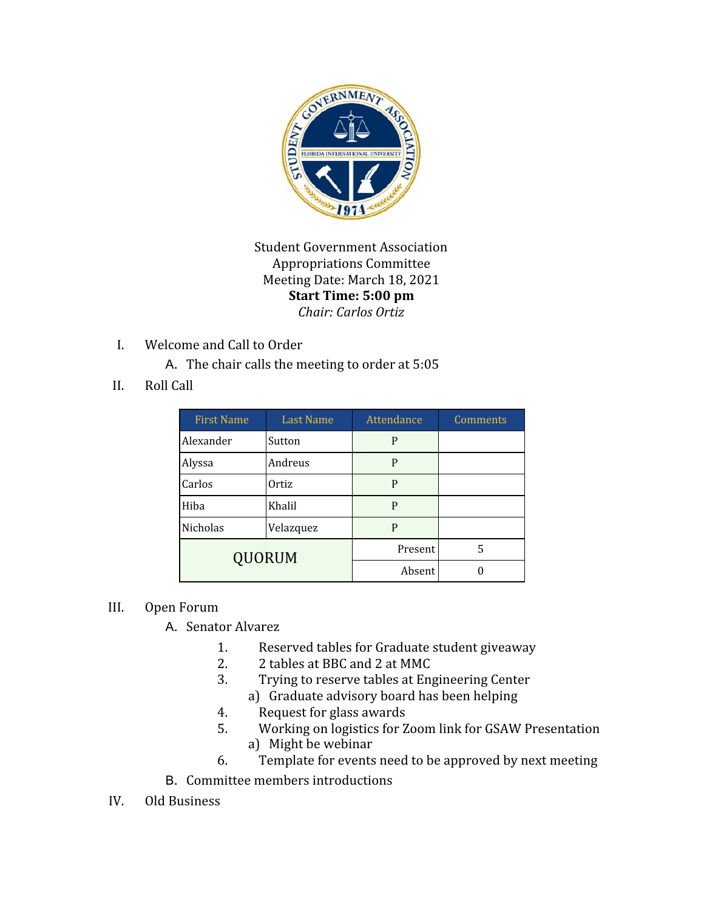

Student Government Association Appropriations Committee Meeting Date: March 18, 2021 **Start Time: 5:00 pm** *Chair: Carlos Ortiz*

I. Welcome and Call to Order

A. The chair calls the meeting to order at 5:05

II. Roll Call

| <b>First Name</b> | <b>Last Name</b> | Attendance | Comments |
|-------------------|------------------|------------|----------|
| Alexander         | Sutton           | P          |          |
| Alyssa            | Andreus          | P          |          |
| Carlos            | Ortiz            | P          |          |
| Hiba              | Khalil           | P          |          |
| Nicholas          | Velazquez        | P          |          |
| <b>QUORUM</b>     |                  | Present    | 5        |
|                   |                  | Absent     |          |

## III. Open Forum

- A. Senator Alvarez
	- 1. Reserved tables for Graduate student giveaway
	- 2. 2 tables at BBC and 2 at MMC
	- 3. Trying to reserve tables at Engineering Center
		- a) Graduate advisory board has been helping
	- 4. Request for glass awards
	- 5. Working on logistics for Zoom link for GSAW Presentation a) Might be webinar
	- 6. Template for events need to be approved by next meeting
- B. Committee members introductions
- IV. Old Business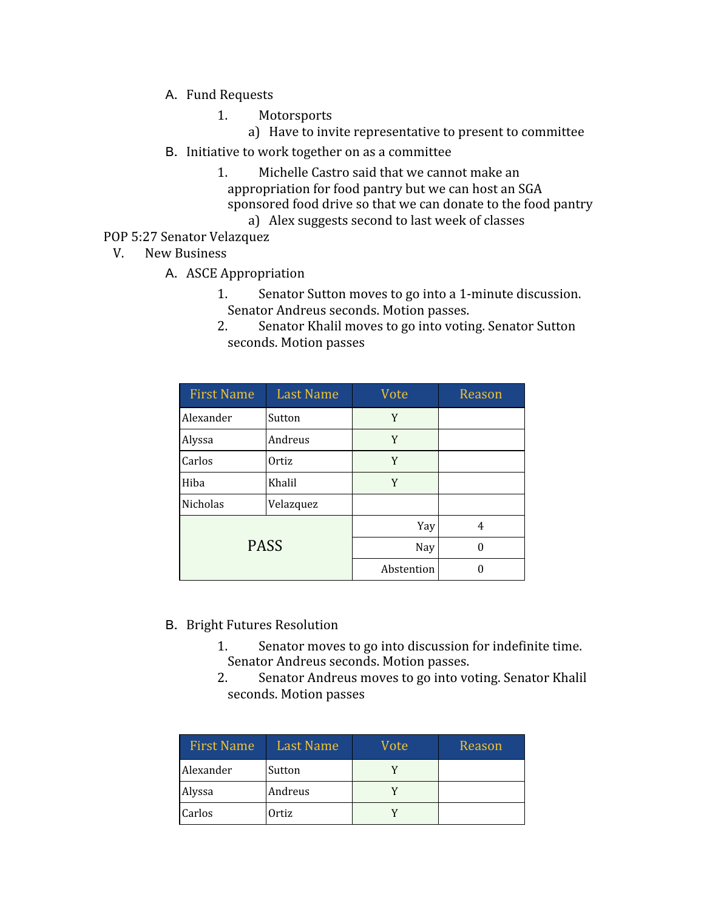- A. Fund Requests
	- 1. Motorsports
		- a) Have to invite representative to present to committee
- B. Initiative to work together on as a committee
	- 1. Michelle Castro said that we cannot make an appropriation for food pantry but we can host an SGA sponsored food drive so that we can donate to the food pantry
		- a) Alex suggests second to last week of classes

## POP 5:27 Senator Velazquez

V. New Business

- A. ASCE Appropriation
	- 1. Senator Sutton moves to go into a 1-minute discussion. Senator Andreus seconds. Motion passes.
	- 2. Senator Khalil moves to go into voting. Senator Sutton seconds. Motion passes

| <b>First Name</b> | <b>Last Name</b> | Vote       | Reason |
|-------------------|------------------|------------|--------|
| Alexander         | Sutton           | Y          |        |
| Alyssa            | Andreus          | Y          |        |
| Carlos            | Ortiz            | Y          |        |
| Hiba              | Khalil           | Y          |        |
| Nicholas          | Velazquez        |            |        |
| <b>PASS</b>       |                  | Yay        | 4      |
|                   |                  | Nay        | 0      |
|                   |                  | Abstention |        |

- B. Bright Futures Resolution
	- 1. Senator moves to go into discussion for indefinite time. Senator Andreus seconds. Motion passes.
	- 2. Senator Andreus moves to go into voting. Senator Khalil seconds. Motion passes

| <b>First Name</b> | <b>Last Name</b> | Vote | Reason |
|-------------------|------------------|------|--------|
| Alexander         | Sutton           |      |        |
| Alyssa            | Andreus          |      |        |
| Carlos            | Ortiz            |      |        |